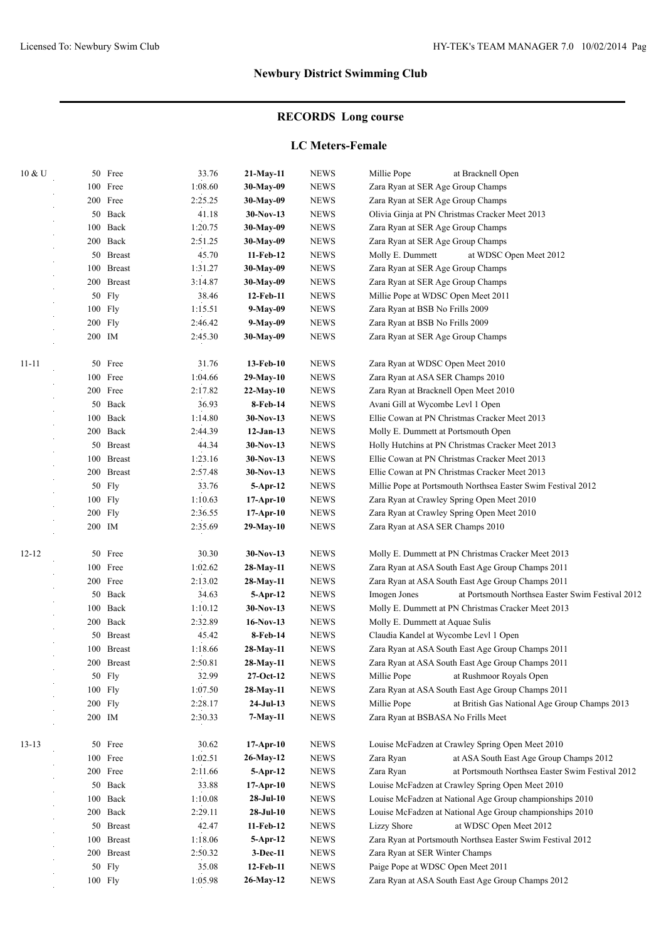# **RECORDS Long course**

### **LC Meters-Female**

| 10 & U    |        | 50 Free       | 33.76   | 21-May-11   | <b>NEWS</b>                    | Millie Pope<br>at Bracknell Open                                 |
|-----------|--------|---------------|---------|-------------|--------------------------------|------------------------------------------------------------------|
|           |        | 100 Free      | 1:08.60 | 30-May-09   | <b>NEWS</b>                    | Zara Ryan at SER Age Group Champs                                |
|           |        | 200 Free      | 2:25.25 | 30-May-09   | <b>NEWS</b>                    | Zara Ryan at SER Age Group Champs                                |
|           |        | 50 Back       | 41.18   | $30-Nov-13$ | <b>NEWS</b>                    | Olivia Ginja at PN Christmas Cracker Meet 2013                   |
|           |        | 100 Back      | 1:20.75 | 30-May-09   | <b>NEWS</b>                    | Zara Ryan at SER Age Group Champs                                |
|           |        | 200 Back      | 2:51.25 | 30-May-09   | ${\bf N}{\bf E}{\bf W}{\bf S}$ | Zara Ryan at SER Age Group Champs                                |
|           |        | 50 Breast     | 45.70   | 11-Feb-12   | <b>NEWS</b>                    | Molly E. Dummett<br>at WDSC Open Meet 2012                       |
|           | 100    | <b>Breast</b> | 1:31.27 | 30-May-09   | <b>NEWS</b>                    | Zara Ryan at SER Age Group Champs                                |
|           |        | 200 Breast    | 3:14.87 | 30-May-09   | <b>NEWS</b>                    | Zara Ryan at SER Age Group Champs                                |
|           |        | 50 Fly        | 38.46   | 12-Feb-11   | <b>NEWS</b>                    | Millie Pope at WDSC Open Meet 2011                               |
|           |        | 100 Fly       | 1:15.51 | 9-May-09    | <b>NEWS</b>                    | Zara Ryan at BSB No Frills 2009                                  |
|           |        | $200$ Fly     | 2:46.42 | 9-May-09    | <b>NEWS</b>                    | Zara Ryan at BSB No Frills 2009                                  |
|           | 200 IM |               | 2:45.30 | 30-May-09   | <b>NEWS</b>                    | Zara Ryan at SER Age Group Champs                                |
|           |        |               |         |             |                                |                                                                  |
| $11 - 11$ |        | 50 Free       | 31.76   | 13-Feb-10   | <b>NEWS</b>                    | Zara Ryan at WDSC Open Meet 2010                                 |
|           |        | 100 Free      | 1:04.66 | 29-May-10   | <b>NEWS</b>                    | Zara Ryan at ASA SER Champs 2010                                 |
|           |        | 200 Free      | 2:17.82 | 22-May-10   | <b>NEWS</b>                    | Zara Ryan at Bracknell Open Meet 2010                            |
|           |        | 50 Back       | 36.93   | 8-Feb-14    | <b>NEWS</b>                    | Avani Gill at Wycombe Levl 1 Open                                |
|           |        | 100 Back      | 1:14.80 | $30-Nov-13$ | <b>NEWS</b>                    | Ellie Cowan at PN Christmas Cracker Meet 2013                    |
|           |        | 200 Back      | 2:44.39 | $12-Jan-13$ | <b>NEWS</b>                    | Molly E. Dummett at Portsmouth Open                              |
|           |        | 50 Breast     | 44.34   | $30-Nov-13$ | <b>NEWS</b>                    | Holly Hutchins at PN Christmas Cracker Meet 2013                 |
|           |        | 100 Breast    | 1:23.16 | $30-Nov-13$ | <b>NEWS</b>                    | Ellie Cowan at PN Christmas Cracker Meet 2013                    |
|           | 200    | <b>Breast</b> | 2:57.48 | $30-Nov-13$ | <b>NEWS</b>                    | Ellie Cowan at PN Christmas Cracker Meet 2013                    |
|           | 50     | Fly           | 33.76   | $5-Apr-12$  | <b>NEWS</b>                    | Millie Pope at Portsmouth Northsea Easter Swim Festival 2012     |
|           |        | 100 Fly       | 1:10.63 |             | <b>NEWS</b>                    |                                                                  |
|           |        |               |         | 17-Apr-10   |                                | Zara Ryan at Crawley Spring Open Meet 2010                       |
|           | 200    | Fly           | 2:36.55 | $17-Apr-10$ | <b>NEWS</b>                    | Zara Ryan at Crawley Spring Open Meet 2010                       |
|           | 200 IM |               | 2:35.69 | 29-May-10   | <b>NEWS</b>                    | Zara Ryan at ASA SER Champs 2010                                 |
| $12 - 12$ | 50     | Free          | 30.30   | $30-Nov-13$ | <b>NEWS</b>                    | Molly E. Dummett at PN Christmas Cracker Meet 2013               |
|           | 100    | Free          | 1:02.62 | 28-May-11   | <b>NEWS</b>                    | Zara Ryan at ASA South East Age Group Champs 2011                |
|           |        | 200 Free      | 2:13.02 | 28-May-11   | <b>NEWS</b>                    | Zara Ryan at ASA South East Age Group Champs 2011                |
|           | 50     | Back          | 34.63   | 5-Apr-12    | <b>NEWS</b>                    | at Portsmouth Northsea Easter Swim Festival 2012<br>Imogen Jones |
|           | 100    | Back          | 1:10.12 | $30-Nov-13$ | <b>NEWS</b>                    | Molly E. Dummett at PN Christmas Cracker Meet 2013               |
|           |        | 200 Back      | 2:32.89 | $16-Nov-13$ | <b>NEWS</b>                    | Molly E. Dummett at Aquae Sulis                                  |
|           | 50     | <b>Breast</b> | 45.42   | 8-Feb-14    | <b>NEWS</b>                    | Claudia Kandel at Wycombe Levl 1 Open                            |
|           | 100    | <b>Breast</b> | 1:18.66 | $28-May-11$ | <b>NEWS</b>                    | Zara Ryan at ASA South East Age Group Champs 2011                |
|           |        | 200 Breast    | 2:50.81 | 28-May-11   | <b>NEWS</b>                    | Zara Ryan at ASA South East Age Group Champs 2011                |
|           |        | 50 Fly        | 32.99   | $27-Oct-12$ | <b>NEWS</b>                    | Millie Pope<br>at Rushmoor Royals Open                           |
|           |        | 100 Fly       | 1:07.50 | 28-May-11   | <b>NEWS</b>                    | Zara Ryan at ASA South East Age Group Champs 2011                |
|           |        | 200 Fly       | 2:28.17 | $24-Jul-13$ | ${\bf N}{\bf E}{\bf W}{\bf S}$ | Millie Pope<br>at British Gas National Age Group Champs 2013     |
|           | 200 IM |               | 2:30.33 | 7-May-11    | <b>NEWS</b>                    | Zara Ryan at BSBASA No Frills Meet                               |
|           |        |               |         |             |                                |                                                                  |
| $13 - 13$ |        | 50 Free       | 30.62   | 17-Apr-10   | <b>NEWS</b>                    | Louise McFadzen at Crawley Spring Open Meet 2010                 |
|           |        | 100 Free      | 1:02.51 | 26-May-12   | <b>NEWS</b>                    | Zara Ryan<br>at ASA South East Age Group Champs 2012             |
|           |        | 200 Free      | 2:11.66 | $5-Apr-12$  | <b>NEWS</b>                    | Zara Ryan<br>at Portsmouth Northsea Easter Swim Festival 2012    |
|           |        | 50 Back       | 33.88   | 17-Apr-10   | <b>NEWS</b>                    | Louise McFadzen at Crawley Spring Open Meet 2010                 |
|           |        | 100 Back      | 1:10.08 | $28-Jul-10$ | ${\rm NEWS}$                   | Louise McFadzen at National Age Group championships 2010         |
|           |        | 200 Back      | 2:29.11 | $28-Jul-10$ | ${\bf N}{\bf E}{\bf W}{\bf S}$ | Louise McFadzen at National Age Group championships 2010         |
|           |        | 50 Breast     | 42.47   | 11-Feb-12   | <b>NEWS</b>                    | <b>Lizzy Shore</b><br>at WDSC Open Meet 2012                     |
|           | 100    | <b>Breast</b> | 1:18.06 | 5-Apr-12    | <b>NEWS</b>                    | Zara Ryan at Portsmouth Northsea Easter Swim Festival 2012       |
|           |        | 200 Breast    | 2:50.32 | $3-Dec-11$  | <b>NEWS</b>                    | Zara Ryan at SER Winter Champs                                   |
|           |        | 50 Fly        | 35.08   | 12-Feb-11   | <b>NEWS</b>                    | Paige Pope at WDSC Open Meet 2011                                |
|           |        | 100 Fly       | 1:05.98 | 26-May-12   | <b>NEWS</b>                    | Zara Ryan at ASA South East Age Group Champs 2012                |
|           |        |               |         |             |                                |                                                                  |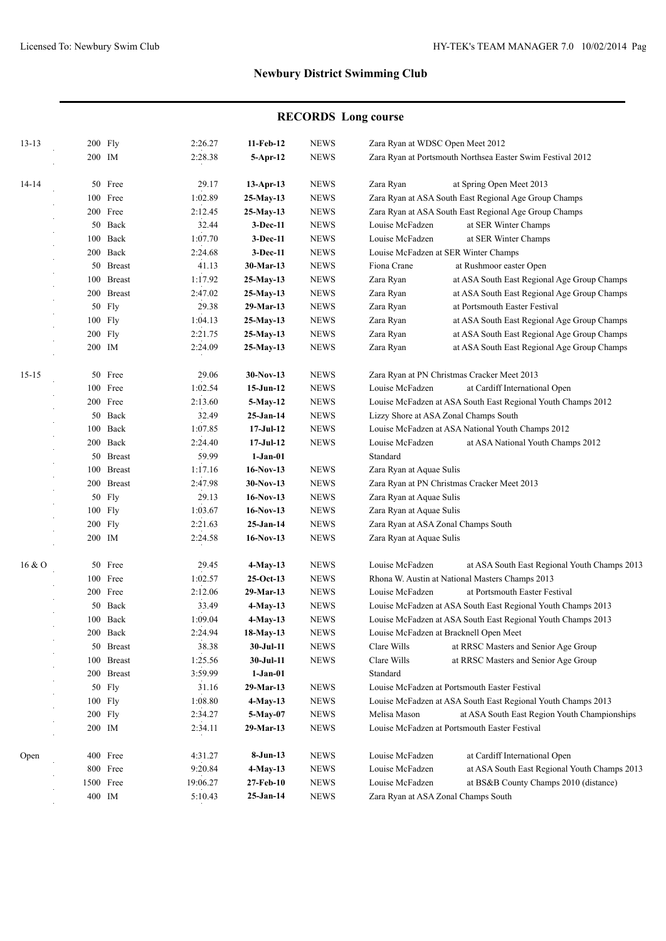# **RECORDS Long course**

| $13 - 13$ |         | 200 Fly    | 2:26.27  | 11-Feb-12    | <b>NEWS</b>                    | Zara Ryan at WDSC Open Meet 2012                                |  |  |
|-----------|---------|------------|----------|--------------|--------------------------------|-----------------------------------------------------------------|--|--|
|           | 200 IM  |            | 2:28.38  | $5-Apr-12$   | <b>NEWS</b>                    | Zara Ryan at Portsmouth Northsea Easter Swim Festival 2012      |  |  |
| 14-14     |         | 50 Free    | 29.17    | $13$ -Apr-13 | <b>NEWS</b>                    | Zara Ryan<br>at Spring Open Meet 2013                           |  |  |
|           |         | 100 Free   | 1:02.89  | $25-May-13$  | <b>NEWS</b>                    | Zara Ryan at ASA South East Regional Age Group Champs           |  |  |
|           |         | 200 Free   | 2:12.45  | $25-May-13$  | <b>NEWS</b>                    | Zara Ryan at ASA South East Regional Age Group Champs           |  |  |
|           |         | 50 Back    | 32.44    | $3-Dec-11$   | <b>NEWS</b>                    | at SER Winter Champs<br>Louise McFadzen                         |  |  |
|           |         | 100 Back   | 1:07.70  | $3-Dec-11$   | <b>NEWS</b>                    | Louise McFadzen<br>at SER Winter Champs                         |  |  |
|           |         | 200 Back   | 2:24.68  | $3-Dec-11$   | <b>NEWS</b>                    | Louise McFadzen at SER Winter Champs                            |  |  |
|           |         | 50 Breast  | 41.13    | 30-Mar-13    | <b>NEWS</b>                    | Fiona Crane<br>at Rushmoor easter Open                          |  |  |
|           |         | 100 Breast | 1:17.92  | 25-May-13    | <b>NEWS</b>                    | Zara Ryan<br>at ASA South East Regional Age Group Champs        |  |  |
|           |         | 200 Breast | 2:47.02  | $25-May-13$  | <b>NEWS</b>                    | Zara Ryan<br>at ASA South East Regional Age Group Champs        |  |  |
|           |         | 50 Fly     | 29.38    | 29-Mar-13    | <b>NEWS</b>                    | at Portsmouth Easter Festival<br>Zara Ryan                      |  |  |
|           |         | 100 Fly    | 1:04.13  | 25-May-13    | <b>NEWS</b>                    | Zara Ryan<br>at ASA South East Regional Age Group Champs        |  |  |
|           |         | $200$ Fly  | 2:21.75  | 25-May-13    | <b>NEWS</b>                    | Zara Ryan<br>at ASA South East Regional Age Group Champs        |  |  |
|           |         | 200 IM     | 2:24.09  | 25-May-13    | <b>NEWS</b>                    | Zara Ryan<br>at ASA South East Regional Age Group Champs        |  |  |
|           |         |            |          |              |                                |                                                                 |  |  |
| $15 - 15$ |         | 50 Free    | 29.06    | $30-Nov-13$  | <b>NEWS</b>                    | Zara Ryan at PN Christmas Cracker Meet 2013                     |  |  |
|           |         | 100 Free   | 1:02.54  | $15-Jun-12$  | <b>NEWS</b>                    | Louise McFadzen<br>at Cardiff International Open                |  |  |
|           |         | 200 Free   | 2:13.60  | $5-May-12$   | <b>NEWS</b>                    | Louise McFadzen at ASA South East Regional Youth Champs 2012    |  |  |
|           |         | 50 Back    | 32.49    | $25-Jan-14$  | <b>NEWS</b>                    | Lizzy Shore at ASA Zonal Champs South                           |  |  |
|           |         | 100 Back   | 1:07.85  | $17-JuI-12$  | <b>NEWS</b>                    | Louise McFadzen at ASA National Youth Champs 2012               |  |  |
|           |         | 200 Back   | 2:24.40  | $17-JuI-12$  | <b>NEWS</b>                    | Louise McFadzen<br>at ASA National Youth Champs 2012            |  |  |
|           |         | 50 Breast  | 59.99    | $1-Jan-01$   |                                | Standard                                                        |  |  |
|           |         | 100 Breast | 1:17.16  | $16-Nov-13$  | <b>NEWS</b>                    | Zara Ryan at Aquae Sulis                                        |  |  |
|           |         | 200 Breast | 2:47.98  | $30-Nov-13$  | <b>NEWS</b>                    | Zara Ryan at PN Christmas Cracker Meet 2013                     |  |  |
|           |         | 50 Fly     | 29.13    | $16-Nov-13$  | <b>NEWS</b>                    | Zara Ryan at Aquae Sulis                                        |  |  |
|           |         | 100 Fly    | 1:03.67  | $16-Nov-13$  | <b>NEWS</b>                    | Zara Ryan at Aquae Sulis                                        |  |  |
|           | 200 Fly |            | 2:21.63  | $25-Jan-14$  | <b>NEWS</b>                    | Zara Ryan at ASA Zonal Champs South                             |  |  |
|           | 200 IM  |            | 2:24.58  | $16-Nov-13$  | <b>NEWS</b>                    | Zara Ryan at Aquae Sulis                                        |  |  |
| 16&0      |         | 50 Free    | 29.45    | 4-May-13     | <b>NEWS</b>                    | Louise McFadzen<br>at ASA South East Regional Youth Champs 2013 |  |  |
|           |         | 100 Free   | 1:02.57  | $25-Oct-13$  | <b>NEWS</b>                    | Rhona W. Austin at National Masters Champs 2013                 |  |  |
|           |         | 200 Free   | 2:12.06  | 29-Mar-13    | <b>NEWS</b>                    | at Portsmouth Easter Festival<br>Louise McFadzen                |  |  |
|           |         | 50 Back    | 33.49    | $4-May-13$   | <b>NEWS</b>                    | Louise McFadzen at ASA South East Regional Youth Champs 2013    |  |  |
|           |         | 100 Back   | 1:09.04  |              | <b>NEWS</b>                    | Louise McFadzen at ASA South East Regional Youth Champs 2013    |  |  |
|           |         |            |          | $4-May-13$   |                                |                                                                 |  |  |
|           |         | 200 Back   | 2:24.94  | 18-May-13    | <b>NEWS</b>                    | Louise McFadzen at Bracknell Open Meet                          |  |  |
|           |         | 50 Breast  | 38.38    | 30-Jul-11    | <b>NEWS</b>                    | Clare Wills<br>at RRSC Masters and Senior Age Group             |  |  |
|           |         | 100 Breast | 1:25.56  | 30-Jul-11    | <b>NEWS</b>                    | Clare Wills<br>at RRSC Masters and Senior Age Group             |  |  |
|           |         | 200 Breast | 3:59.99  | $1-Jan-01$   |                                | Standard                                                        |  |  |
|           |         | 50 Fly     | 31.16    | 29-Mar-13    | <b>NEWS</b>                    | Louise McFadzen at Portsmouth Easter Festival                   |  |  |
|           |         | 100 Fly    | 1:08.80  | 4-May-13     | ${\bf N}{\bf E}{\bf W}{\bf S}$ | Louise McFadzen at ASA South East Regional Youth Champs 2013    |  |  |
|           |         | $200$ Fly  | 2:34.27  | 5-May-07     | <b>NEWS</b>                    | Melisa Mason<br>at ASA South East Region Youth Championships    |  |  |
|           | 200 IM  |            | 2:34.11  | 29-Mar-13    | <b>NEWS</b>                    | Louise McFadzen at Portsmouth Easter Festival                   |  |  |
| Open      |         | 400 Free   | 4:31.27  | $8-Jun-13$   | <b>NEWS</b>                    | Louise McFadzen<br>at Cardiff International Open                |  |  |
|           |         | 800 Free   | 9:20.84  | $4-May-13$   | <b>NEWS</b>                    | at ASA South East Regional Youth Champs 2013<br>Louise McFadzen |  |  |
|           |         | 1500 Free  | 19:06.27 | 27-Feb-10    | <b>NEWS</b>                    | at BS&B County Champs 2010 (distance)<br>Louise McFadzen        |  |  |
|           |         | 400 IM     | 5:10.43  | $25-Jan-14$  | <b>NEWS</b>                    | Zara Ryan at ASA Zonal Champs South                             |  |  |
|           |         |            |          |              |                                |                                                                 |  |  |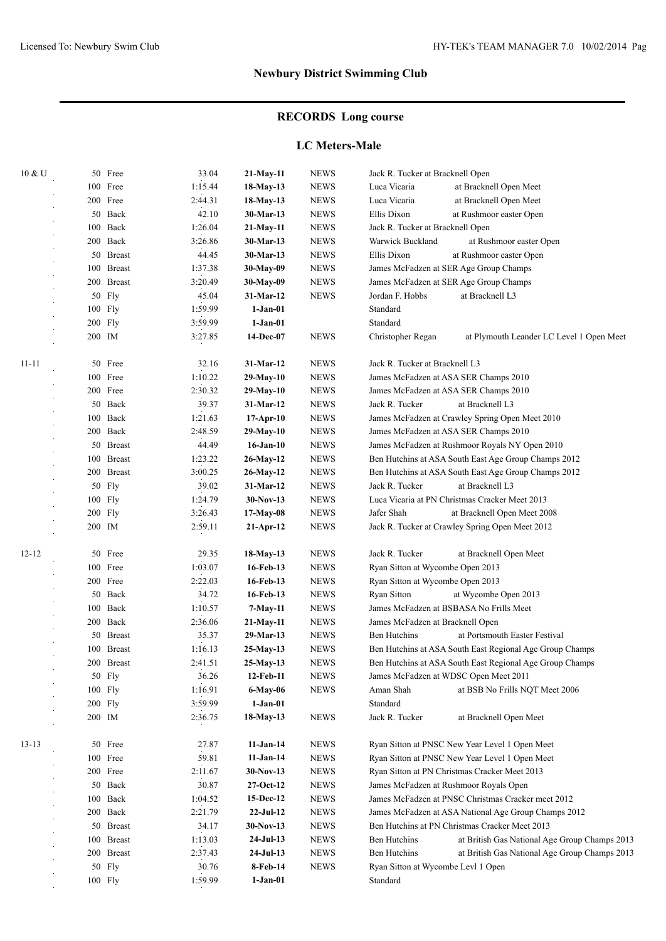# **RECORDS Long course**

### **LC Meters-Male**

| 10 & U    |     | 50 Free       | 33.04   | 21-May-11       | <b>NEWS</b> | Jack R. Tucker at Bracknell Open                         |                                                          |  |
|-----------|-----|---------------|---------|-----------------|-------------|----------------------------------------------------------|----------------------------------------------------------|--|
|           |     | 100 Free      | 1:15.44 | 18-May-13       | <b>NEWS</b> | Luca Vicaria                                             | at Bracknell Open Meet                                   |  |
|           |     | 200 Free      | 2:44.31 | 18-May-13       | <b>NEWS</b> | Luca Vicaria                                             | at Bracknell Open Meet                                   |  |
|           | 50  | Back          | 42.10   | 30-Mar-13       | <b>NEWS</b> | Ellis Dixon                                              | at Rushmoor easter Open                                  |  |
|           | 100 | Back          | 1:26.04 | 21-May-11       | <b>NEWS</b> | Jack R. Tucker at Bracknell Open                         |                                                          |  |
|           |     | 200 Back      | 3:26.86 | 30-Mar-13       | <b>NEWS</b> | Warwick Buckland                                         | at Rushmoor easter Open                                  |  |
|           |     | 50 Breast     | 44.45   | $30-Mar-13$     | <b>NEWS</b> | Ellis Dixon                                              | at Rushmoor easter Open                                  |  |
|           |     | 100 Breast    | 1:37.38 | 30-May-09       | <b>NEWS</b> |                                                          | James McFadzen at SER Age Group Champs                   |  |
|           |     | 200 Breast    | 3:20.49 | 30-May-09       | <b>NEWS</b> |                                                          | James McFadzen at SER Age Group Champs                   |  |
|           |     | 50 Fly        | 45.04   | 31-Mar-12       | <b>NEWS</b> | Jordan F. Hobbs                                          | at Bracknell L3                                          |  |
|           |     | 100 Fly       | 1:59.99 | $1-Jan-01$      |             | Standard                                                 |                                                          |  |
|           |     | 200 Fly       | 3:59.99 | $1-Jan-01$      |             | Standard                                                 |                                                          |  |
|           |     | 200 IM        | 3:27.85 | 14-Dec-07       | <b>NEWS</b> | Christopher Regan                                        | at Plymouth Leander LC Level 1 Open Meet                 |  |
| $11 - 11$ |     | 50 Free       | 32.16   | 31-Mar-12       | <b>NEWS</b> | Jack R. Tucker at Bracknell L3                           |                                                          |  |
|           |     | 100 Free      | 1:10.22 | 29-May-10       | <b>NEWS</b> |                                                          | James McFadzen at ASA SER Champs 2010                    |  |
|           |     | 200 Free      | 2:30.32 | 29-May-10       | <b>NEWS</b> |                                                          | James McFadzen at ASA SER Champs 2010                    |  |
|           |     | 50 Back       | 39.37   | 31-Mar-12       | <b>NEWS</b> | Jack R. Tucker                                           | at Bracknell L3                                          |  |
|           | 100 | Back          | 1:21.63 | $17-Apr-10$     | <b>NEWS</b> | James McFadzen at Crawley Spring Open Meet 2010          |                                                          |  |
|           |     | 200 Back      | 2:48.59 | $29-May-10$     | <b>NEWS</b> | James McFadzen at ASA SER Champs 2010                    |                                                          |  |
|           |     | 50 Breast     | 44.49   | $16$ -Jan- $10$ | <b>NEWS</b> | James McFadzen at Rushmoor Royals NY Open 2010           |                                                          |  |
|           | 100 | <b>Breast</b> | 1:23.22 | 26-May-12       | <b>NEWS</b> | Ben Hutchins at ASA South East Age Group Champs 2012     |                                                          |  |
|           | 200 | <b>Breast</b> | 3:00.25 | 26-May-12       | <b>NEWS</b> |                                                          | Ben Hutchins at ASA South East Age Group Champs 2012     |  |
|           | 50  | Fly           | 39.02   | 31-Mar-12       | <b>NEWS</b> | Jack R. Tucker                                           | at Bracknell L3                                          |  |
|           | 100 | <b>Fly</b>    | 1:24.79 | $30-Nov-13$     | <b>NEWS</b> |                                                          | Luca Vicaria at PN Christmas Cracker Meet 2013           |  |
|           |     | $200$ Fly     | 3:26.43 | 17-May-08       | <b>NEWS</b> | Jafer Shah                                               | at Bracknell Open Meet 2008                              |  |
|           |     | 200 IM        | 2:59.11 | $21-Apr-12$     | <b>NEWS</b> |                                                          | Jack R. Tucker at Crawley Spring Open Meet 2012          |  |
| $12 - 12$ | 50  | Free          | 29.35   | 18-May-13       | <b>NEWS</b> | Jack R. Tucker                                           | at Bracknell Open Meet                                   |  |
|           |     | 100 Free      | 1:03.07 | 16-Feb-13       | <b>NEWS</b> | Ryan Sitton at Wycombe Open 2013                         |                                                          |  |
|           |     | 200 Free      | 2:22.03 | 16-Feb-13       | <b>NEWS</b> | Ryan Sitton at Wycombe Open 2013                         |                                                          |  |
|           |     | 50 Back       | 34.72   | 16-Feb-13       | <b>NEWS</b> | Ryan Sitton                                              | at Wycombe Open 2013                                     |  |
|           | 100 | Back          | 1:10.57 | 7-May-11        | <b>NEWS</b> |                                                          | James McFadzen at BSBASA No Frills Meet                  |  |
|           |     | 200 Back      | 2:36.06 | $21-May-11$     | <b>NEWS</b> | James McFadzen at Bracknell Open                         |                                                          |  |
|           | 50  | <b>Breast</b> | 35.37   | 29-Mar-13       | <b>NEWS</b> | Ben Hutchins                                             | at Portsmouth Easter Festival                            |  |
|           | 100 | <b>Breast</b> | 1:16.13 | 25-May-13       | <b>NEWS</b> |                                                          | Ben Hutchins at ASA South East Regional Age Group Champs |  |
|           |     | 200 Breast    | 2:41.51 | 25-May-13       | <b>NEWS</b> | Ben Hutchins at ASA South East Regional Age Group Champs |                                                          |  |
|           |     | 50 Fly        | 36.26   | 12-Feb-11       | <b>NEWS</b> |                                                          | James McFadzen at WDSC Open Meet 2011                    |  |
|           |     | 100 Fly       | 1:16.91 | $6-May-06$      | <b>NEWS</b> | Aman Shah                                                | at BSB No Frills NQT Meet 2006                           |  |
|           |     | 200 Fly       | 3:59.99 | $1-Jan-01$      |             | Standard                                                 |                                                          |  |
|           |     | 200 IM        | 2:36.75 | $18-May-13$     | <b>NEWS</b> | Jack R. Tucker                                           | at Bracknell Open Meet                                   |  |
| $13-13$   |     | 50 Free       | 27.87   | $11-Jan-14$     | <b>NEWS</b> |                                                          | Ryan Sitton at PNSC New Year Level 1 Open Meet           |  |
|           |     | 100 Free      | 59.81   | $11-Jan-14$     | <b>NEWS</b> |                                                          | Ryan Sitton at PNSC New Year Level 1 Open Meet           |  |
|           |     | 200 Free      | 2:11.67 | 30-Nov-13       | <b>NEWS</b> |                                                          | Ryan Sitton at PN Christmas Cracker Meet 2013            |  |
|           |     | 50 Back       | 30.87   | $27-Oct-12$     | <b>NEWS</b> |                                                          | James McFadzen at Rushmoor Royals Open                   |  |
|           |     | 100 Back      | 1:04.52 | 15-Dec-12       | <b>NEWS</b> |                                                          | James McFadzen at PNSC Christmas Cracker meet 2012       |  |
|           |     | 200 Back      | 2:21.79 | $22-Jul-12$     | <b>NEWS</b> |                                                          | James McFadzen at ASA National Age Group Champs 2012     |  |
|           |     | 50 Breast     | 34.17   | $30-Nov-13$     | <b>NEWS</b> |                                                          | Ben Hutchins at PN Christmas Cracker Meet 2013           |  |
|           |     | 100 Breast    | 1:13.03 | $24-Jul-13$     | <b>NEWS</b> | Ben Hutchins                                             | at British Gas National Age Group Champs 2013            |  |
|           |     | 200 Breast    | 2:37.43 | $24-Jul-13$     | <b>NEWS</b> | Ben Hutchins                                             | at British Gas National Age Group Champs 2013            |  |
|           |     | 50 Fly        | 30.76   | 8-Feb-14        | <b>NEWS</b> | Ryan Sitton at Wycombe Levl 1 Open                       |                                                          |  |
|           |     | 100 Fly       | 1:59.99 | $1-Jan-01$      |             | Standard                                                 |                                                          |  |